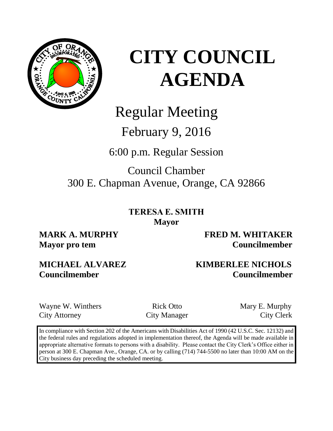

## Regular Meeting

## February 9, 2016

6:00 p.m. Regular Session

## Council Chamber 300 E. Chapman Avenue, Orange, CA 92866

**TERESA E. SMITH Mayor**

**MARK A. MURPHY FRED M. WHITAKER Mayor pro tem Councilmember** 

### **MICHAEL ALVAREZ KIMBERLEE NICHOLS Councilmember Councilmember**

Wayne W. Winthers **Rick Otto** Mary E. Murphy City Attorney City Manager City Clerk

In compliance with Section 202 of the Americans with Disabilities Act of 1990 (42 U.S.C. Sec. 12132) and the federal rules and regulations adopted in implementation thereof, the Agenda will be made available in appropriate alternative formats to persons with a disability. Please contact the City Clerk's Office either in person at 300 E. Chapman Ave., Orange, CA. or by calling (714) 744-5500 no later than 10:00 AM on the City business day preceding the scheduled meeting.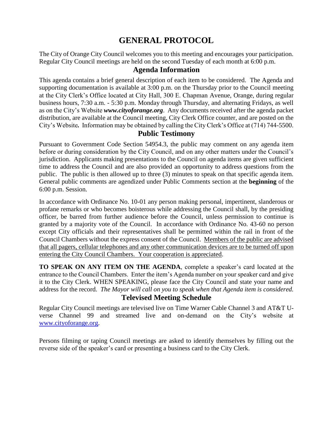### **GENERAL PROTOCOL**

The City of Orange City Council welcomes you to this meeting and encourages your participation. Regular City Council meetings are held on the second Tuesday of each month at 6:00 p.m.

### **Agenda Information**

This agenda contains a brief general description of each item to be considered. The Agenda and supporting documentation is available at 3:00 p.m. on the Thursday prior to the Council meeting at the City Clerk's Office located at City Hall, 300 E. Chapman Avenue, Orange, during regular business hours, 7:30 a.m. - 5:30 p.m. Monday through Thursday, and alternating Fridays, as well as on the City's Website *www.cityoforange.org*. Any documents received after the agenda packet distribution, are available at the Council meeting, City Clerk Office counter, and are posted on the City's Website*.* Information may be obtained by calling the City Clerk's Office at (714) 744-5500.

### **Public Testimony**

Pursuant to Government Code Section 54954.3, the public may comment on any agenda item before or during consideration by the City Council, and on any other matters under the Council's jurisdiction. Applicants making presentations to the Council on agenda items are given sufficient time to address the Council and are also provided an opportunity to address questions from the public. The public is then allowed up to three (3) minutes to speak on that specific agenda item. General public comments are agendized under Public Comments section at the **beginning** of the 6:00 p.m. Session.

In accordance with Ordinance No. 10-01 any person making personal, impertinent, slanderous or profane remarks or who becomes boisterous while addressing the Council shall, by the presiding officer, be barred from further audience before the Council, unless permission to continue is granted by a majority vote of the Council. In accordance with Ordinance No. 43-60 no person except City officials and their representatives shall be permitted within the rail in front of the Council Chambers without the express consent of the Council. Members of the public are advised that all pagers, cellular telephones and any other communication devices are to be turned off upon entering the City Council Chambers. Your cooperation is appreciated.

**TO SPEAK ON ANY ITEM ON THE AGENDA**, complete a speaker's card located at the entrance to the Council Chambers. Enter the item's Agenda number on your speaker card and give it to the City Clerk. WHEN SPEAKING, please face the City Council and state your name and address for the record. *The Mayor will call on you to speak when that Agenda item is considered.* **Televised Meeting Schedule**

Regular City Council meetings are televised live on Time Warner Cable Channel 3 and AT&T Uverse Channel 99 and streamed live and on-demand on the City's website at [www.cityoforange.org.](http://www.cityoforange.org/)

Persons filming or taping Council meetings are asked to identify themselves by filling out the reverse side of the speaker's card or presenting a business card to the City Clerk.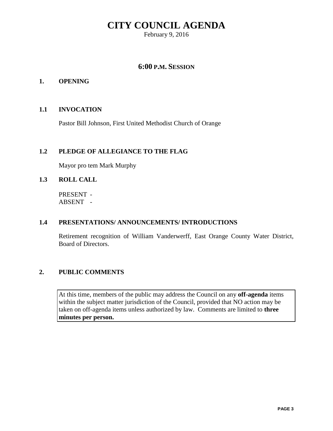February 9, 2016

### **6:00 P.M. SESSION**

### **1. OPENING**

### **1.1 INVOCATION**

Pastor Bill Johnson, First United Methodist Church of Orange

### **1.2 PLEDGE OF ALLEGIANCE TO THE FLAG**

Mayor pro tem Mark Murphy

### **1.3 ROLL CALL**

PRESENT - ABSENT -

### **1.4 PRESENTATIONS/ ANNOUNCEMENTS/ INTRODUCTIONS**

Retirement recognition of William Vanderwerff, East Orange County Water District, Board of Directors.

### **2. PUBLIC COMMENTS**

At this time, members of the public may address the Council on any **off-agenda** items within the subject matter jurisdiction of the Council, provided that NO action may be taken on off-agenda items unless authorized by law. Comments are limited to **three minutes per person.**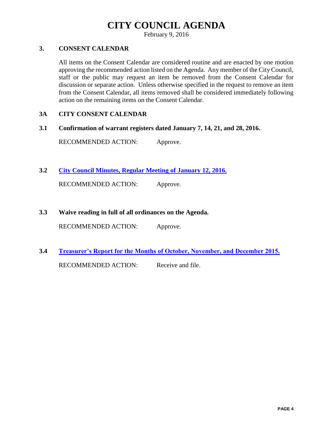February 9, 2016

### **3. CONSENT CALENDAR**

All items on the Consent Calendar are considered routine and are enacted by one motion approving the recommended action listed on the Agenda. Any member of the City Council, staff or the public may request an item be removed from the Consent Calendar for discussion or separate action. Unless otherwise specified in the request to remove an item from the Consent Calendar, all items removed shall be considered immediately following action on the remaining items on the Consent Calendar.

### **3A CITY CONSENT CALENDAR**

**3.1 Confirmation of warrant registers dated January 7, 14, 21, and 28, 2016.**

RECOMMENDED ACTION: Approve.

**3.2 [City Council Minutes, Regular Meeting of January 12, 2016.](http://citydocs.cityoforange.org/WebLink8/DocView.aspx?id=243687555&dbid=0)**

RECOMMENDED ACTION: Approve.

**3.3 Waive reading in full of all ordinances on the Agenda.** 

RECOMMENDED ACTION: Approve.

**3.4 [Treasurer's Report for the Months of October, November, and December 2015.](http://citydocs.cityoforange.org/WebLink8/DocView.aspx?id=243687557&dbid=0)** RECOMMENDED ACTION: Receive and file.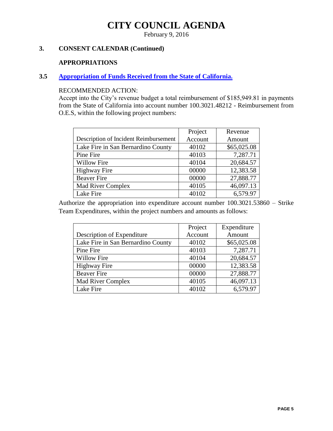February 9, 2016

### **3. CONSENT CALENDAR (Continued)**

#### **APPROPRIATIONS**

### **3.5 [Appropriation of Funds Received](http://citydocs.cityoforange.org/WebLink8/DocView.aspx?id=243687558&dbid=0) from the State of California.**

### RECOMMENDED ACTION:

Accept into the City's revenue budget a total reimbursement of \$185,949.81 in payments from the State of California into account number 100.3021.48212 - Reimbursement from O.E.S, within the following project numbers:

|                                       | Project | Revenue     |
|---------------------------------------|---------|-------------|
| Description of Incident Reimbursement | Account | Amount      |
| Lake Fire in San Bernardino County    | 40102   | \$65,025.08 |
| Pine Fire                             | 40103   | 7,287.71    |
| <b>Willow Fire</b>                    | 40104   | 20,684.57   |
| <b>Highway Fire</b>                   | 00000   | 12,383.58   |
| <b>Beaver Fire</b>                    | 00000   | 27,888.77   |
| <b>Mad River Complex</b>              | 40105   | 46,097.13   |
| Lake Fire                             | 40102   | 6,579.97    |

Authorize the appropriation into expenditure account number 100.3021.53860 – Strike Team Expenditures, within the project numbers and amounts as follows:

|                                    | Project | Expenditure |
|------------------------------------|---------|-------------|
| Description of Expenditure         | Account | Amount      |
| Lake Fire in San Bernardino County | 40102   | \$65,025.08 |
| Pine Fire                          | 40103   | 7,287.71    |
| <b>Willow Fire</b>                 | 40104   | 20,684.57   |
| <b>Highway Fire</b>                | 00000   | 12,383.58   |
| <b>Beaver Fire</b>                 | 00000   | 27,888.77   |
| <b>Mad River Complex</b>           | 40105   | 46,097.13   |
| Lake Fire                          | 40102   | 6,579.97    |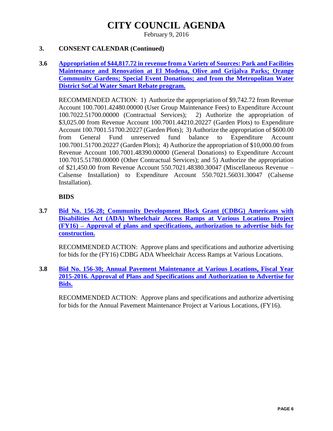February 9, 2016

### **3. CONSENT CALENDAR (Continued)**

### **3.6 [Appropriation of \\$44,817.72 in revenue from a Variety of Sources: Park and Facilities](http://citydocs.cityoforange.org/WebLink8/DocView.aspx?id=243687559&dbid=0)  [Maintenance and Renovation at El Modena, Olive and Grijalva Parks; Orange](http://citydocs.cityoforange.org/WebLink8/DocView.aspx?id=243687559&dbid=0)  [Community Gardens; Special Event Donations; and from the Metropolitan Water](http://citydocs.cityoforange.org/WebLink8/DocView.aspx?id=243687559&dbid=0)  [District SoCal Water Smart Rebate program.](http://citydocs.cityoforange.org/WebLink8/DocView.aspx?id=243687559&dbid=0)**

RECOMMENDED ACTION: 1) Authorize the appropriation of \$9,742.72 from Revenue Account 100.7001.42480.00000 (User Group Maintenance Fees) to Expenditure Account 100.7022.51700.00000 (Contractual Services); 2) Authorize the appropriation of \$3,025.00 from Revenue Account 100.7001.44210.20227 (Garden Plots) to Expenditure Account 100.7001.51700.20227 (Garden Plots); 3) Authorize the appropriation of \$600.00 from General Fund unreserved fund balance to Expenditure Account 100.7001.51700.20227 (Garden Plots); 4) Authorize the appropriation of \$10,000.00 from Revenue Account 100.7001.48390.00000 (General Donations) to Expenditure Account 100.7015.51780.00000 (Other Contractual Services); and 5) Authorize the appropriation of \$21,450.00 from Revenue Account 550.7021.48380.30047 (Miscellaneous Revenue – Calsense Installation) to Expenditure Account 550.7021.56031.30047 (Calsense Installation).

### **BIDS**

**3.7 [Bid No. 156-28; Community Development Block Grant \(CDBG\) Americans with](http://citydocs.cityoforange.org/WebLink8/DocView.aspx?id=243687560&dbid=0)  [Disabilities Act \(ADA\) Wheelchair Access Ramps at Various Locations Project](http://citydocs.cityoforange.org/WebLink8/DocView.aspx?id=243687560&dbid=0)  (FY16) – [Approval of plans and specifications, authorization to advertise bids for](http://citydocs.cityoforange.org/WebLink8/DocView.aspx?id=243687560&dbid=0)  [construction.](http://citydocs.cityoforange.org/WebLink8/DocView.aspx?id=243687560&dbid=0)**

RECOMMENDED ACTION: Approve plans and specifications and authorize advertising for bids for the (FY16) CDBG ADA Wheelchair Access Ramps at Various Locations.

**3.8 [Bid No. 156-30; Annual Pavement Maintenance at Various Locations, Fiscal Year](http://citydocs.cityoforange.org/WebLink8/DocView.aspx?id=243687561&dbid=0)  [2015-2016. Approval of Plans and Specifications and Authorization to Advertise for](http://citydocs.cityoforange.org/WebLink8/DocView.aspx?id=243687561&dbid=0)  [Bids.](http://citydocs.cityoforange.org/WebLink8/DocView.aspx?id=243687561&dbid=0)**

RECOMMENDED ACTION: Approve plans and specifications and authorize advertising for bids for the Annual Pavement Maintenance Project at Various Locations, (FY16).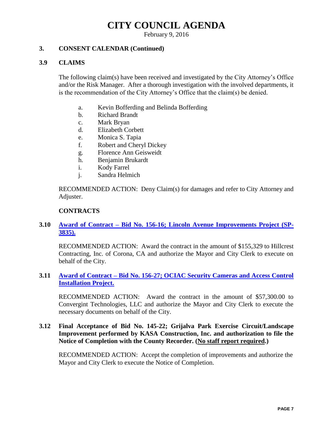February 9, 2016

### **3. CONSENT CALENDAR (Continued)**

### **3.9 CLAIMS**

The following claim(s) have been received and investigated by the City Attorney's Office and/or the Risk Manager. After a thorough investigation with the involved departments, it is the recommendation of the City Attorney's Office that the claim(s) be denied.

- a. Kevin Bofferding and Belinda Bofferding
- b. Richard Brandt
- c. Mark Bryan
- d. Elizabeth Corbett
- e. Monica S. Tapia
- f. Robert and Cheryl Dickey
- g. Florence Ann Geisweidt
- h. Benjamin Brukardt
- i. Kody Farrel
- j. Sandra Helmich

RECOMMENDED ACTION: Deny Claim(s) for damages and refer to City Attorney and Adjuster.

### **CONTRACTS**

### **3.10 Award of Contract – [Bid No. 156-16; Lincoln Avenue Improvements Project \(SP-](http://citydocs.cityoforange.org/WebLink8/DocView.aspx?id=243687563&dbid=0)[3835\).](http://citydocs.cityoforange.org/WebLink8/DocView.aspx?id=243687563&dbid=0)**

RECOMMENDED ACTION: Award the contract in the amount of \$155,329 to Hillcrest Contracting, Inc. of Corona, CA and authorize the Mayor and City Clerk to execute on behalf of the City.

### **3.11 Award of Contract – [Bid No. 156-27; OCIAC Security Cameras and Access Control](http://citydocs.cityoforange.org/WebLink8/DocView.aspx?id=243687565&dbid=0)  [Installation Project.](http://citydocs.cityoforange.org/WebLink8/DocView.aspx?id=243687565&dbid=0)**

RECOMMENDED ACTION: Award the contract in the amount of \$57,300.00 to Convergint Technologies, LLC and authorize the Mayor and City Clerk to execute the necessary documents on behalf of the City.

### **3.12 Final Acceptance of Bid No. 145-22; Grijalva Park Exercise Circuit/Landscape Improvement performed by KASA Construction, Inc. and authorization to file the Notice of Completion with the County Recorder. (No staff report required.)**

RECOMMENDED ACTION: Accept the completion of improvements and authorize the Mayor and City Clerk to execute the Notice of Completion.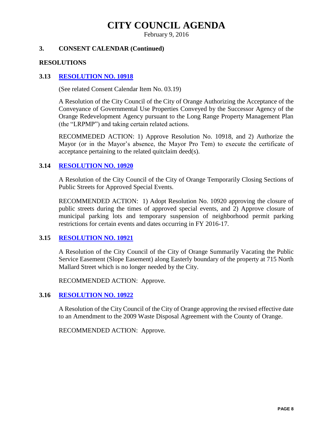February 9, 2016

### **3. CONSENT CALENDAR (Continued)**

#### **RESOLUTIONS**

### **3.13 [RESOLUTION NO. 10918](http://citydocs.cityoforange.org/WebLink8/DocView.aspx?id=243687574&dbid=0)**

(See related Consent Calendar Item No. 03.19)

A Resolution of the City Council of the City of Orange Authorizing the Acceptance of the Conveyance of Governmental Use Properties Conveyed by the Successor Agency of the Orange Redevelopment Agency pursuant to the Long Range Property Management Plan (the "LRPMP") and taking certain related actions.

RECOMMEDED ACTION: 1) Approve Resolution No. 10918, and 2) Authorize the Mayor (or in the Mayor's absence, the Mayor Pro Tem) to execute the certificate of acceptance pertaining to the related quitclaim deed(s).

### **3.14 [RESOLUTION NO. 10920](http://citydocs.cityoforange.org/WebLink8/DocView.aspx?id=243687579&dbid=0)**

A Resolution of the City Council of the City of Orange Temporarily Closing Sections of Public Streets for Approved Special Events.

RECOMMENDED ACTION: 1) Adopt Resolution No. 10920 approving the closure of public streets during the times of approved special events, and 2) Approve closure of municipal parking lots and temporary suspension of neighborhood permit parking restrictions for certain events and dates occurring in FY 2016-17.

### **3.15 [RESOLUTION NO. 10921](http://citydocs.cityoforange.org/WebLink8/DocView.aspx?id=243687583&dbid=0)**

A Resolution of the City Council of the City of Orange Summarily Vacating the Public Service Easement (Slope Easement) along Easterly boundary of the property at 715 North Mallard Street which is no longer needed by the City.

RECOMMENDED ACTION: Approve.

### **3.16 [RESOLUTION NO. 10922](http://citydocs.cityoforange.org/WebLink8/DocView.aspx?id=243687586&dbid=0)**

A Resolution of the City Council of the City of Orange approving the revised effective date to an Amendment to the 2009 Waste Disposal Agreement with the County of Orange.

RECOMMENDED ACTION: Approve.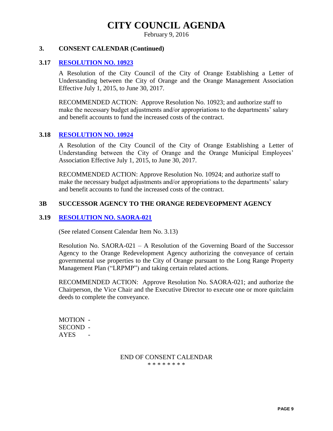February 9, 2016

#### **3. CONSENT CALENDAR (Continued)**

#### **3.17 [RESOLUTION NO. 10923](http://citydocs.cityoforange.org/WebLink8/DocView.aspx?id=243687589&dbid=0)**

A Resolution of the City Council of the City of Orange Establishing a Letter of Understanding between the City of Orange and the Orange Management Association Effective July 1, 2015, to June 30, 2017.

RECOMMENDED ACTION: Approve Resolution No. 10923; and authorize staff to make the necessary budget adjustments and/or appropriations to the departments' salary and benefit accounts to fund the increased costs of the contract.

### **3.18 [RESOLUTION NO. 10924](http://citydocs.cityoforange.org/WebLink8/DocView.aspx?id=243687598&dbid=0)**

A Resolution of the City Council of the City of Orange Establishing a Letter of Understanding between the City of Orange and the Orange Municipal Employees' Association Effective July 1, 2015, to June 30, 2017.

RECOMMENDED ACTION: Approve Resolution No. 10924; and authorize staff to make the necessary budget adjustments and/or appropriations to the departments' salary and benefit accounts to fund the increased costs of the contract.

### **3B SUCCESSOR AGENCY TO THE ORANGE REDEVEOPMENT AGENCY**

### **3.19 [RESOLUTION NO. SAORA-021](http://citydocs.cityoforange.org/WebLink8/DocView.aspx?id=243687600&dbid=0)**

(See related Consent Calendar Item No. 3.13)

Resolution No. SAORA-021 – A Resolution of the Governing Board of the Successor Agency to the Orange Redevelopment Agency authorizing the conveyance of certain governmental use properties to the City of Orange pursuant to the Long Range Property Management Plan ("LRPMP") and taking certain related actions.

RECOMMENDED ACTION: Approve Resolution No. SAORA-021; and authorize the Chairperson, the Vice Chair and the Executive Director to execute one or more quitclaim deeds to complete the conveyance.

MOTION - SECOND - AYES -

> END OF CONSENT CALENDAR \* \* \* \* \* \* \* \*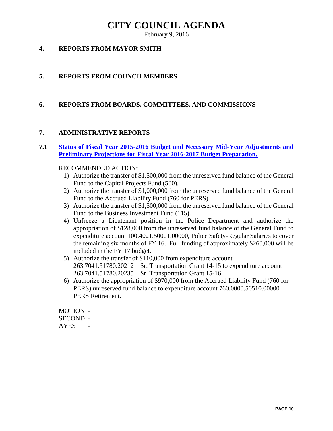February 9, 2016

### **4. REPORTS FROM MAYOR SMITH**

### **5. REPORTS FROM COUNCILMEMBERS**

### **6. REPORTS FROM BOARDS, COMMITTEES, AND COMMISSIONS**

### **7. ADMINISTRATIVE REPORTS**

### **7.1 [Status of Fiscal Year 2015-2016 Budget and Necessary Mid-Year Adjustments and](http://citydocs.cityoforange.org/WebLink8/DocView.aspx?id=243687602&dbid=0)  [Preliminary Projections for Fiscal Year 2016-2017 Budget Preparation.](http://citydocs.cityoforange.org/WebLink8/DocView.aspx?id=243687602&dbid=0)**

### RECOMMENDED ACTION:

- 1) Authorize the transfer of \$1,500,000 from the unreserved fund balance of the General Fund to the Capital Projects Fund (500).
- 2) Authorize the transfer of \$1,000,000 from the unreserved fund balance of the General Fund to the Accrued Liability Fund (760 for PERS).
- 3) Authorize the transfer of \$1,500,000 from the unreserved fund balance of the General Fund to the Business Investment Fund (115).
- 4) Unfreeze a Lieutenant position in the Police Department and authorize the appropriation of \$128,000 from the unreserved fund balance of the General Fund to expenditure account 100.4021.50001.00000, Police Safety-Regular Salaries to cover the remaining six months of FY 16. Full funding of approximately \$260,000 will be included in the FY 17 budget.
- 5) Authorize the transfer of \$110,000 from expenditure account 263.7041.51780.20212 – Sr. Transportation Grant 14-15 to expenditure account 263.7041.51780.20235 – Sr. Transportation Grant 15-16.
- 6) Authorize the appropriation of \$970,000 from the Accrued Liability Fund (760 for PERS) unreserved fund balance to expenditure account 760.0000.50510.00000 – PERS Retirement.

MOTION - SECOND - AYES -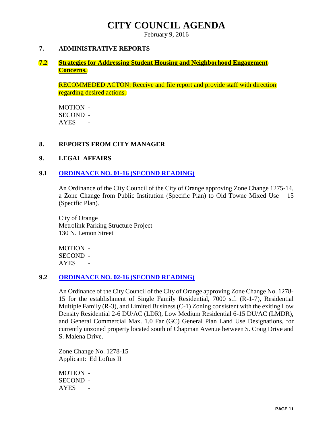February 9, 2016

#### **7. ADMINISTRATIVE REPORTS**

### **7.2 [Strategies for Addressing Student Housing and Neighborhood Engagement](http://citydocs.cityoforange.org/WebLink8/DocView.aspx?id=243687608&dbid=0)  [Concerns.](http://citydocs.cityoforange.org/WebLink8/DocView.aspx?id=243687608&dbid=0)**

RECOMMEDED ACTON: Receive and file report and provide staff with direction regarding desired actions.

MOTION - SECOND - AYES -

### **8. REPORTS FROM CITY MANAGER**

#### **9. LEGAL AFFAIRS**

### **9.1 [ORDINANCE NO. 01-16 \(SECOND READING\)](http://citydocs.cityoforange.org/WebLink8/DocView.aspx?id=243687611&dbid=0)**

An Ordinance of the City Council of the City of Orange approving Zone Change 1275-14, a Zone Change from Public Institution (Specific Plan) to Old Towne Mixed Use – 15 (Specific Plan).

City of Orange Metrolink Parking Structure Project 130 N. Lemon Street

MOTION - SECOND - **AYES** 

#### **9.2 [ORDINANCE NO. 02-16](http://citydocs.cityoforange.org/WebLink8/DocView.aspx?id=243687638&dbid=0) (SECOND READING)**

An Ordinance of the City Council of the City of Orange approving Zone Change No. 1278- 15 for the establishment of Single Family Residential, 7000 s.f. (R-1-7), Residential Multiple Family (R-3), and Limited Business (C-1) Zoning consistent with the exiting Low Density Residential 2-6 DU/AC (LDR), Low Medium Residential 6-15 DU/AC (LMDR), and General Commercial Max. 1.0 Far (GC) General Plan Land Use Designations, for currently unzoned property located south of Chapman Avenue between S. Craig Drive and S. Malena Drive.

Zone Change No. 1278-15 Applicant: Ed Loftus II

MOTION - SECOND - AYES -